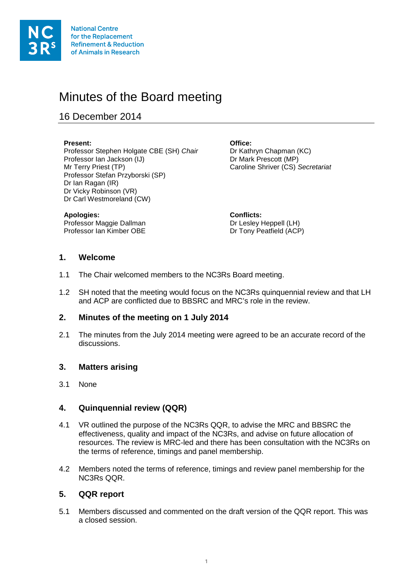

# Minutes of the Board meeting

16 December 2014

#### **Present: Office:**

Professor Stephen Holgate CBE (SH) *Chair* Dr Kathryn Chapman (KC)<br>Professor lan Jackson (IJ) Dr Mark Prescott (MP) Professor Ian Jackson (IJ) Mr Terry Priest (TP) Caroline Shriver (CS) *Secretariat* Professor Stefan Przyborski (SP) Dr Ian Ragan (IR) Dr Vicky Robinson (VR) Dr Carl Westmoreland (CW)

**Apologies:**<br> **Professor Maggie Dallman**<br> **Conflicts:**<br> **Conflicts:**<br> **Conflicts:** Professor Maggie Dallman<br>Professor Ian Kimber OBE

Dr Tony Peatfield (ACP)

#### **1. Welcome**

- 1.1 The Chair welcomed members to the NC3Rs Board meeting.
- 1.2 SH noted that the meeting would focus on the NC3Rs quinquennial review and that LH and ACP are conflicted due to BBSRC and MRC's role in the review.

#### **2. Minutes of the meeting on 1 July 2014**

2.1 The minutes from the July 2014 meeting were agreed to be an accurate record of the discussions.

#### **3. Matters arising**

3.1 None

#### **4. Quinquennial review (QQR)**

- 4.1 VR outlined the purpose of the NC3Rs QQR, to advise the MRC and BBSRC the effectiveness, quality and impact of the NC3Rs, and advise on future allocation of resources. The review is MRC-led and there has been consultation with the NC3Rs on the terms of reference, timings and panel membership.
- 4.2 Members noted the terms of reference, timings and review panel membership for the NC3Rs QQR.

#### **5. QQR report**

5.1 Members discussed and commented on the draft version of the QQR report. This was a closed session.